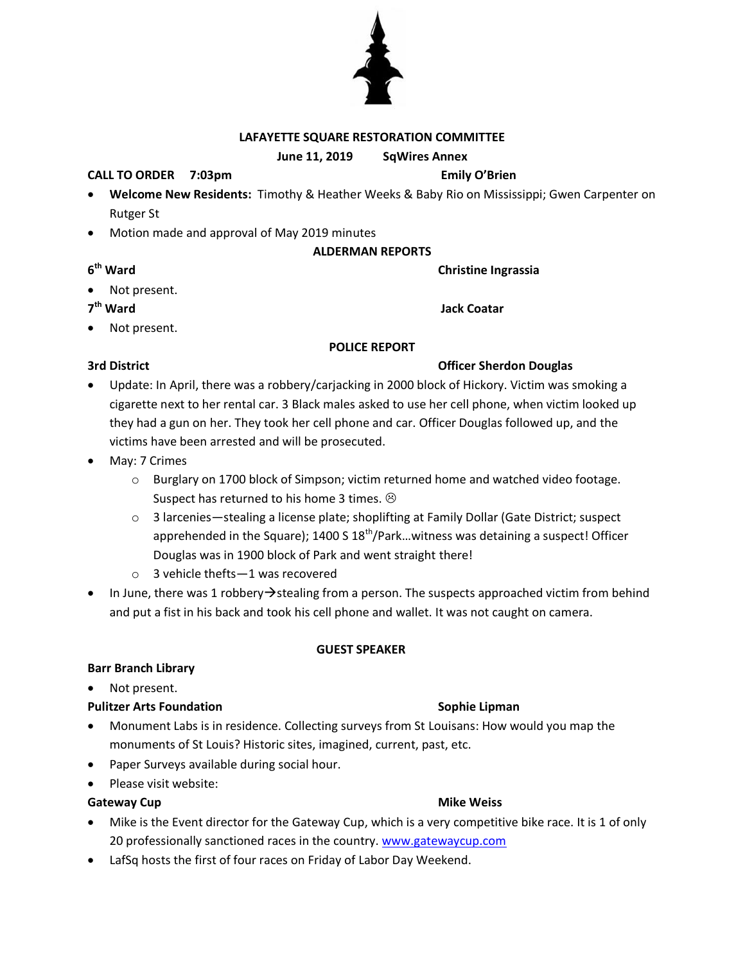## **LAFAYETTE SQUARE RESTORATION COMMITTEE**

### **June 11, 2019 SqWires Annex**

### **CALL TO ORDER 7:03pm Emily O'Brien**

- **Welcome New Residents:** Timothy & Heather Weeks & Baby Rio on Mississippi; Gwen Carpenter on Rutger St
- Motion made and approval of May 2019 minutes

## **ALDERMAN REPORTS**

**Christine Ingrassia** 

**Jack Coatar** 

Not present.

7<sup>th</sup> Ward

**6**

Not present.

### **POLICE REPORT**

## **3rd District Officer Sherdon Douglas**

- Update: In April, there was a robbery/carjacking in 2000 block of Hickory. Victim was smoking a cigarette next to her rental car. 3 Black males asked to use her cell phone, when victim looked up they had a gun on her. They took her cell phone and car. Officer Douglas followed up, and the victims have been arrested and will be prosecuted.
- May: 7 Crimes
	- $\circ$  Burglary on 1700 block of Simpson; victim returned home and watched video footage. Suspect has returned to his home 3 times.  $\odot$
	- o 3 larcenies—stealing a license plate; shoplifting at Family Dollar (Gate District; suspect apprehended in the Square);  $1400 S 18<sup>th</sup>/Park...$  witness was detaining a suspect! Officer Douglas was in 1900 block of Park and went straight there!
	- o 3 vehicle thefts—1 was recovered
- In June, there was 1 robbery  $\rightarrow$  stealing from a person. The suspects approached victim from behind and put a fist in his back and took his cell phone and wallet. It was not caught on camera.

### **GUEST SPEAKER**

## **Barr Branch Library**

• Not present.

### **Pulitzer Arts Foundation Sophie Lipman**

- Monument Labs is in residence. Collecting surveys from St Louisans: How would you map the monuments of St Louis? Historic sites, imagined, current, past, etc.
- Paper Surveys available during social hour.
- Please visit website:

### **Gateway Cup Mike Weiss Mike Weiss**

- Mike is the Event director for the Gateway Cup, which is a very competitive bike race. It is 1 of only 20 professionally sanctioned races in the country. [www.gatewaycup.com](http://www.gatewaycup.com/)
- LafSq hosts the first of four races on Friday of Labor Day Weekend.



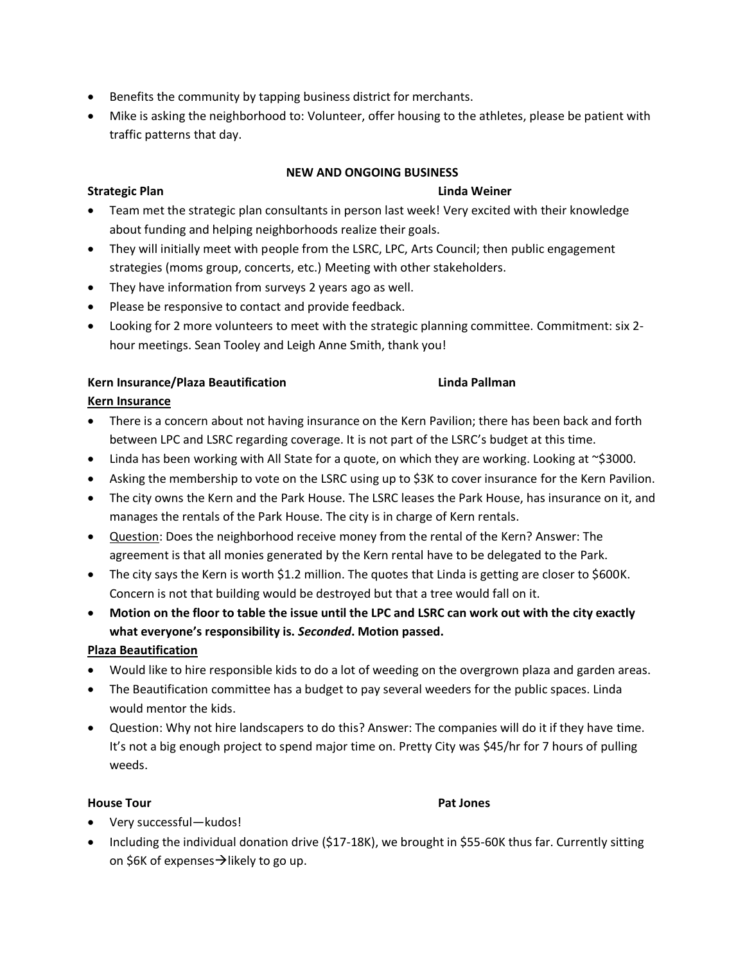- Benefits the community by tapping business district for merchants.
- Mike is asking the neighborhood to: Volunteer, offer housing to the athletes, please be patient with traffic patterns that day.

### **NEW AND ONGOING BUSINESS**

### **Strategic Plan Linda Weiner**

- Team met the strategic plan consultants in person last week! Very excited with their knowledge about funding and helping neighborhoods realize their goals.
- They will initially meet with people from the LSRC, LPC, Arts Council; then public engagement strategies (moms group, concerts, etc.) Meeting with other stakeholders.
- They have information from surveys 2 years ago as well.
- Please be responsive to contact and provide feedback.
- Looking for 2 more volunteers to meet with the strategic planning committee. Commitment: six 2 hour meetings. Sean Tooley and Leigh Anne Smith, thank you!

## **Kern Insurance/Plaza Beautification Linda Pallman**

## **Kern Insurance**

- There is a concern about not having insurance on the Kern Pavilion; there has been back and forth between LPC and LSRC regarding coverage. It is not part of the LSRC's budget at this time.
- Linda has been working with All State for a quote, on which they are working. Looking at  $\sim$ \$3000.
- Asking the membership to vote on the LSRC using up to \$3K to cover insurance for the Kern Pavilion.
- The city owns the Kern and the Park House. The LSRC leases the Park House, has insurance on it, and manages the rentals of the Park House. The city is in charge of Kern rentals.
- Question: Does the neighborhood receive money from the rental of the Kern? Answer: The agreement is that all monies generated by the Kern rental have to be delegated to the Park.
- The city says the Kern is worth \$1.2 million. The quotes that Linda is getting are closer to \$600K. Concern is not that building would be destroyed but that a tree would fall on it.
- **Motion on the floor to table the issue until the LPC and LSRC can work out with the city exactly what everyone's responsibility is.** *Seconded***. Motion passed.**

## **Plaza Beautification**

- Would like to hire responsible kids to do a lot of weeding on the overgrown plaza and garden areas.
- The Beautification committee has a budget to pay several weeders for the public spaces. Linda would mentor the kids.
- Question: Why not hire landscapers to do this? Answer: The companies will do it if they have time. It's not a big enough project to spend major time on. Pretty City was \$45/hr for 7 hours of pulling weeds.

### **House Tour Pat Jones**

- Very successful—kudos!
- Including the individual donation drive (\$17-18K), we brought in \$55-60K thus far. Currently sitting on \$6K of expenses $\rightarrow$ likely to go up.